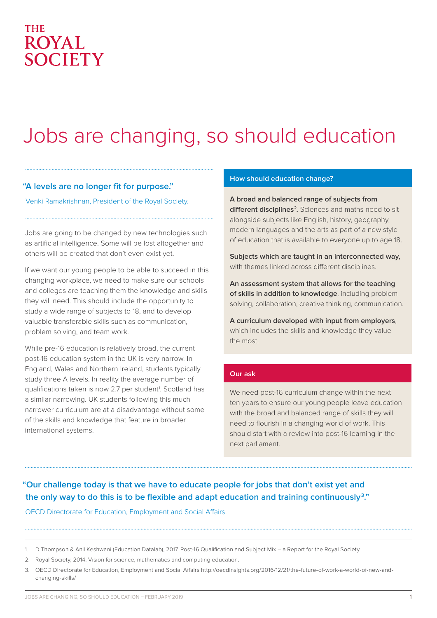### **THE ROYAL SOCIETY**

# Jobs are changing, so should education

#### **"A levels are no longer fit for purpose."**

Venki Ramakrishnan, President of the Royal Society.

Jobs are going to be changed by new technologies such as artificial intelligence. Some will be lost altogether and others will be created that don't even exist yet.

If we want our young people to be able to succeed in this changing workplace, we need to make sure our schools and colleges are teaching them the knowledge and skills they will need. This should include the opportunity to study a wide range of subjects to 18, and to develop valuable transferable skills such as communication, problem solving, and team work.

While pre-16 education is relatively broad, the current post-16 education system in the UK is very narrow. In England, Wales and Northern Ireland, students typically study three A levels. In reality the average number of qualifications taken is now 2.7 per student<sup>1</sup>. Scotland has a similar narrowing. UK students following this much narrower curriculum are at a disadvantage without some of the skills and knowledge that feature in broader international systems.

#### **How should education change?**

**A broad and balanced range of subjects from**  different disciplines<sup>2</sup>. Sciences and maths need to sit alongside subjects like English, history, geography, modern languages and the arts as part of a new style of education that is available to everyone up to age 18.

**Subjects which are taught in an interconnected way,** with themes linked across different disciplines.

**An assessment system that allows for the teaching of skills in addition to knowledge**, including problem solving, collaboration, creative thinking, communication.

**A curriculum developed with input from employers**, which includes the skills and knowledge they value the most.

#### **Our ask**

We need post-16 curriculum change within the next ten years to ensure our young people leave education with the broad and balanced range of skills they will need to flourish in a changing world of work. This should start with a review into post-16 learning in the next parliament.

#### **"Our challenge today is that we have to educate people for jobs that don't exist yet and the only way to do this is to be flexible and adapt education and training continuously3 ."**

OECD Directorate for Education, Employment and Social Affairs.

<sup>1.</sup> D Thompson & Anil Keshwani (Education Datalab), 2017. Post-16 Qualification and Subject Mix – a Report for the Royal Society.

<sup>2.</sup> Royal Society, 2014. Vision for science, mathematics and computing education.

<sup>3.</sup> OECD Directorate for Education, Employment and Social Affairs http://oecdinsights.org/2016/12/21/the-future-of-work-a-world-of-new-andchanging-skills/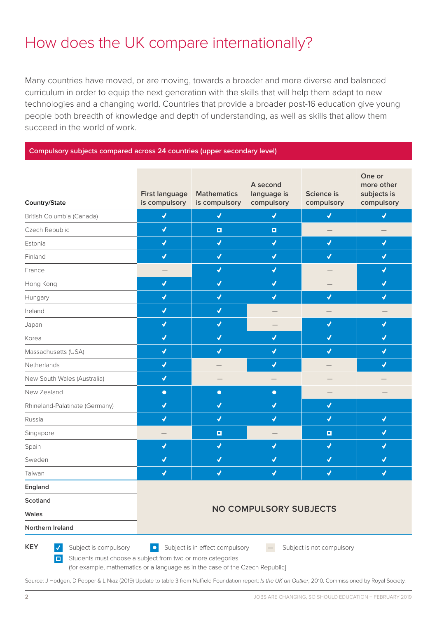## How does the UK compare internationally?

Many countries have moved, or are moving, towards a broader and more diverse and balanced curriculum in order to equip the next generation with the skills that will help them adapt to new technologies and a changing world. Countries that provide a broader post-16 education give young people both breadth of knowledge and depth of understanding, as well as skills that allow them succeed in the world of work.

#### **Compulsory subjects compared across 24 countries (upper secondary level)**

| Country/State                                                                                                                                                        | <b>First language</b><br>is compulsory | <b>Mathematics</b><br>is compulsory | A second<br>language is<br>compulsory | Science is<br>compulsory | One or<br>more other<br>subjects is<br>compulsory |  |  |  |
|----------------------------------------------------------------------------------------------------------------------------------------------------------------------|----------------------------------------|-------------------------------------|---------------------------------------|--------------------------|---------------------------------------------------|--|--|--|
| British Columbia (Canada)                                                                                                                                            | $\blacklozenge$                        | $\blacklozenge$                     | $\blacklozenge$                       | $\blacklozenge$          | $\blacklozenge$                                   |  |  |  |
| Czech Republic                                                                                                                                                       | $\blacklozenge$                        | $\Box$                              | $\Box$                                |                          |                                                   |  |  |  |
| Estonia                                                                                                                                                              | $\blacklozenge$                        | $\blacklozenge$                     | $\blacklozenge$                       | $\blacklozenge$          | $\blacktriangledown$                              |  |  |  |
| Finland                                                                                                                                                              | $\checkmark$                           | √                                   | $\blacklozenge$                       | √                        | √                                                 |  |  |  |
| France                                                                                                                                                               |                                        | $\blacklozenge$                     | $\blacklozenge$                       |                          | $\blacklozenge$                                   |  |  |  |
| Hong Kong                                                                                                                                                            | $\blacklozenge$                        | $\blacklozenge$                     | $\blacklozenge$                       |                          | $\blacklozenge$                                   |  |  |  |
| Hungary                                                                                                                                                              | $\blacklozenge$                        | $\blacklozenge$                     | $\blacklozenge$                       | $\checkmark$             | $\blacklozenge$                                   |  |  |  |
| Ireland                                                                                                                                                              | $\blacktriangledown$                   | $\blacklozenge$                     |                                       |                          |                                                   |  |  |  |
| Japan                                                                                                                                                                | $\blacktriangledown$                   | $\blacktriangledown$                |                                       | $\checkmark$             | √                                                 |  |  |  |
| Korea                                                                                                                                                                | $\blacklozenge$                        | $\blacklozenge$                     | $\blacklozenge$                       | $\blacktriangledown$     | $\blacktriangledown$                              |  |  |  |
| Massachusetts (USA)                                                                                                                                                  | $\blacktriangledown$                   | $\blacktriangledown$                | $\blacklozenge$                       | $\blacklozenge$          | $\blacktriangledown$                              |  |  |  |
| Netherlands                                                                                                                                                          | $\blacktriangledown$                   |                                     | $\blacklozenge$                       |                          | $\blacktriangledown$                              |  |  |  |
| New South Wales (Australia)                                                                                                                                          | $\blacktriangledown$                   |                                     |                                       |                          |                                                   |  |  |  |
| New Zealand                                                                                                                                                          | $\bullet$                              | $\bullet$                           | $\bullet$                             |                          |                                                   |  |  |  |
| Rhineland-Palatinate (Germany)                                                                                                                                       | √                                      | √                                   | $\blacklozenge$                       | ✔                        |                                                   |  |  |  |
| Russia                                                                                                                                                               | $\checkmark$                           | $\blacktriangledown$                | $\checkmark$                          | $\checkmark$             | $\blacktriangledown$                              |  |  |  |
| Singapore                                                                                                                                                            |                                        | $\Box$                              |                                       | $\Box$                   | √                                                 |  |  |  |
| Spain                                                                                                                                                                | $\blacklozenge$                        | $\blacklozenge$                     | √                                     | $\blacktriangledown$     | $\blacklozenge$                                   |  |  |  |
| Sweden                                                                                                                                                               | $\blacklozenge$                        | $\blacklozenge$                     | $\blacklozenge$                       | $\blacktriangledown$     | $\blacklozenge$                                   |  |  |  |
| Taiwan                                                                                                                                                               | $\blacklozenge$                        | √                                   | $\blacklozenge$                       | $\blacklozenge$          | $\blacklozenge$                                   |  |  |  |
| England                                                                                                                                                              |                                        |                                     |                                       |                          |                                                   |  |  |  |
| Scotland                                                                                                                                                             |                                        |                                     |                                       |                          |                                                   |  |  |  |
| Wales                                                                                                                                                                | <b>NO COMPULSORY SUBJECTS</b>          |                                     |                                       |                          |                                                   |  |  |  |
| Northern Ireland                                                                                                                                                     |                                        |                                     |                                       |                          |                                                   |  |  |  |
| <b>KEY</b><br>Subject is compulsory<br>$\blacktriangledown$<br>Subject is in effect compulsory<br>Subject is not compulsory<br>$\bullet$<br>$\overline{\phantom{m}}$ |                                        |                                     |                                       |                          |                                                   |  |  |  |

**□** Students must choose a subject from two or more categories (for example, mathematics or a language as in the case of the Czech Republic]

Source: J Hodgen, D Pepper & L Niaz (2019) Update to table 3 from Nuffield Foundation report: *Is the UK an Outlier*, 2010. Commissioned by Royal Society.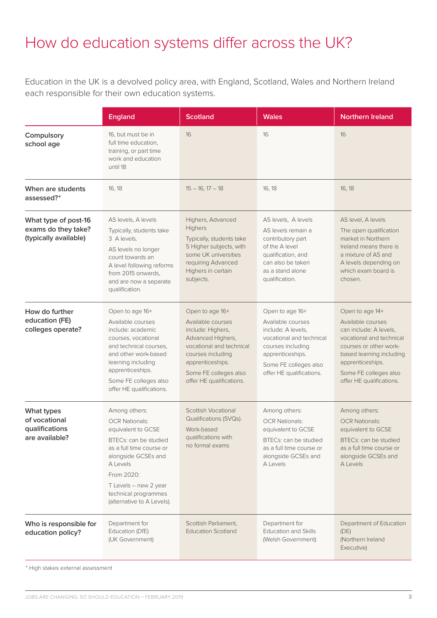## How do education systems differ across the UK?

Education in the UK is a devolved policy area, with England, Scotland, Wales and Northern Ireland each responsible for their own education systems.

|                                                                      | <b>England</b>                                                                                                                                                                                                                                    | <b>Scotland</b>                                                                                                                                                                                          | <b>Wales</b>                                                                                                                                                                         | <b>Northern Ireland</b>                                                                                                                                                                                                   |
|----------------------------------------------------------------------|---------------------------------------------------------------------------------------------------------------------------------------------------------------------------------------------------------------------------------------------------|----------------------------------------------------------------------------------------------------------------------------------------------------------------------------------------------------------|--------------------------------------------------------------------------------------------------------------------------------------------------------------------------------------|---------------------------------------------------------------------------------------------------------------------------------------------------------------------------------------------------------------------------|
| Compulsory<br>school age                                             | 16, but must be in<br>full time education,<br>training, or part time<br>work and education<br>until 18                                                                                                                                            | 16                                                                                                                                                                                                       | 16                                                                                                                                                                                   | 16                                                                                                                                                                                                                        |
| When are students<br>assessed?*                                      | 16, 18                                                                                                                                                                                                                                            | $15 - 16$ , $17 - 18$                                                                                                                                                                                    | 16, 18                                                                                                                                                                               | 16, 18                                                                                                                                                                                                                    |
| What type of post-16<br>exams do they take?<br>(typically available) | AS levels, A levels<br>Typically, students take<br>3 A levels.<br>AS levels no longer<br>count towards an<br>A level following reforms<br>from 2015 onwards,<br>and are now a separate<br>qualification.                                          | Highers, Advanced<br>Highers<br>Typically, students take<br>5 Higher subjects, with<br>some UK universities<br>requiring Advanced<br>Highers in certain<br>subjects.                                     | AS levels, A levels<br>AS levels remain a<br>contributory part<br>of the A level<br>qualification, and<br>can also be taken<br>as a stand alone<br>qualification.                    | AS level, A levels<br>The open qualification<br>market in Northern<br>Ireland means there is<br>a mixture of AS and<br>A levels depending on<br>which exam board is<br>chosen.                                            |
| How do further<br>education (FE)<br>colleges operate?                | Open to age 16+<br>Available courses<br>include: academic<br>courses, vocational<br>and technical courses,<br>and other work-based<br>learning including<br>apprenticeships.<br>Some FE colleges also<br>offer HE qualifications.                 | Open to age 16+<br>Available courses<br>include: Highers,<br>Advanced Highers,<br>vocational and technical<br>courses including<br>apprenticeships.<br>Some FE colleges also<br>offer HE qualifications. | Open to age 16+<br>Available courses<br>include: A levels,<br>vocational and technical<br>courses including<br>apprenticeships.<br>Some FE colleges also<br>offer HE qualifications. | Open to age 14+<br>Available courses<br>can include: A levels,<br>vocational and technical<br>courses or other work-<br>based learning including<br>apprenticeships.<br>Some FE colleges also<br>offer HE qualifications. |
| What types<br>of vocational<br>qualifications<br>are available?      | Among others:<br><b>OCR Nationals:</b><br>equivalent to GCSE<br>BTECs: can be studied<br>as a full time course or<br>alongside GCSEs and<br>A Levels<br>From 2020:<br>T Levels - new 2 year<br>technical programmes<br>(alternative to A Levels). | <b>Scottish Vocational</b><br>Qualifications (SVQs).<br>Work-based<br>qualifications with<br>no formal exams                                                                                             | Among others:<br><b>OCR Nationals:</b><br>equivalent to GCSE<br>BTECs: can be studied<br>as a full time course or<br>alongside GCSEs and<br>A Levels                                 | Among others:<br><b>OCR Nationals:</b><br>equivalent to GCSE<br>BTECs: can be studied<br>as a full time course or<br>alongside GCSEs and<br>A Levels                                                                      |
| Who is responsible for<br>education policy?                          | Department for<br>Education (DfE)<br>(UK Government)                                                                                                                                                                                              | Scottish Parliament,<br><b>Education Scotland</b>                                                                                                                                                        | Department for<br><b>Education and Skills</b><br>(Welsh Government)                                                                                                                  | Department of Education<br>(DE)<br>(Northern Ireland<br>Executive)                                                                                                                                                        |

\* High stakes external assessment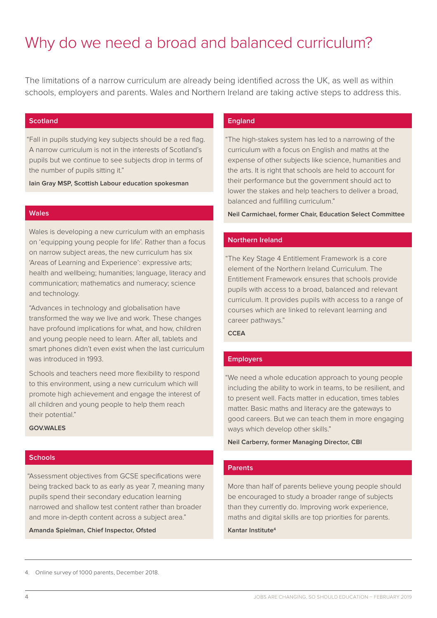## Why do we need a broad and balanced curriculum?

The limitations of a narrow curriculum are already being identified across the UK, as well as within schools, employers and parents. Wales and Northern Ireland are taking active steps to address this.

#### **Scotland**

 "Fall in pupils studying key subjects should be a red flag. A narrow curriculum is not in the interests of Scotland's pupils but we continue to see subjects drop in terms of the number of pupils sitting it."

**Iain Gray MSP, Scottish Labour education spokesman**

#### **Wales**

Wales is developing a new curriculum with an emphasis on 'equipping young people for life'. Rather than a focus on narrow subject areas, the new curriculum has six 'Areas of Learning and Experience': expressive arts; health and wellbeing; humanities; language, literacy and communication; mathematics and numeracy; science and technology.

"Advances in technology and globalisation have transformed the way we live and work. These changes have profound implications for what, and how, children and young people need to learn. After all, tablets and smart phones didn't even exist when the last curriculum was introduced in 1993.

Schools and teachers need more flexibility to respond to this environment, using a new curriculum which will promote high achievement and engage the interest of all children and young people to help them reach their potential."

**GOV.WALES**

#### **Schools**

 "Assessment objectives from GCSE specifications were being tracked back to as early as year 7, meaning many pupils spend their secondary education learning narrowed and shallow test content rather than broader and more in-depth content across a subject area."

**Amanda Spielman, Chief Inspector, Ofsted**

#### **England**

 "The high-stakes system has led to a narrowing of the curriculum with a focus on English and maths at the expense of other subjects like science, humanities and the arts. It is right that schools are held to account for their performance but the government should act to lower the stakes and help teachers to deliver a broad, balanced and fulfilling curriculum."

**Neil Carmichael, former Chair, Education Select Committee**

#### **Northern Ireland**

 "The Key Stage 4 Entitlement Framework is a core element of the Northern Ireland Curriculum. The Entitlement Framework ensures that schools provide pupils with access to a broad, balanced and relevant curriculum. It provides pupils with access to a range of courses which are linked to relevant learning and career pathways."

#### **CCEA**

#### **Employers**

 "We need a whole education approach to young people including the ability to work in teams, to be resilient, and to present well. Facts matter in education, times tables matter. Basic maths and literacy are the gateways to good careers. But we can teach them in more engaging ways which develop other skills."

#### **Neil Carberry, former Managing Director, CBI**

#### **Parents**

More than half of parents believe young people should be encouraged to study a broader range of subjects than they currently do. Improving work experience, maths and digital skills are top priorities for parents.

#### **Kantar Institute4**

<sup>4.</sup> Online survey of 1000 parents, December 2018.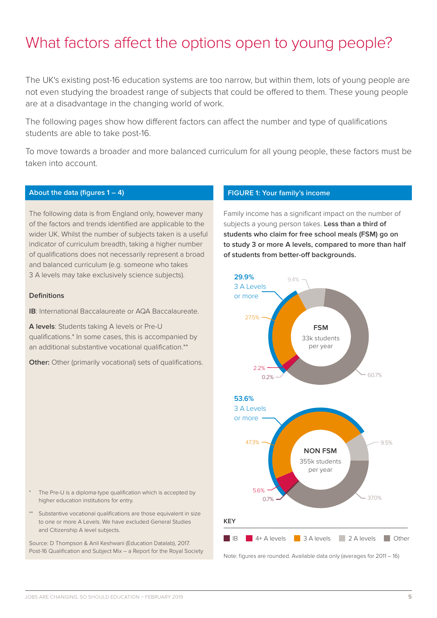### What factors affect the options open to young people?

The UK's existing post-16 education systems are too narrow, but within them, lots of young people are not even studying the broadest range of subjects that could be offered to them. These young people are at a disadvantage in the changing world of work.

The following pages show how different factors can affect the number and type of qualifications students are able to take post-16.

To move towards a broader and more balanced curriculum for all young people, these factors must be taken into account.

#### **About the data (figures 1 – 4)**

The following data is from England only, however many of the factors and trends identified are applicable to the wider UK. Whilst the number of subjects taken is a useful indicator of curriculum breadth, taking a higher number of qualifications does not necessarily represent a broad and balanced curriculum (e.g. someone who takes 3 A levels may take exclusively science subjects).

#### **Definitions**

**IB**: International Baccalaureate or AQA Baccalaureate.

**A levels**: Students taking A levels or Pre-U qualifications.\* In some cases, this is accompanied by an additional substantive vocational qualification.\*\*

**Other:** Other (primarily vocational) sets of qualifications.

#### **FIGURE 1: Your family's income**

Family income has a significant impact on the number of subjects a young person takes. **Less than a third of students who claim for free school meals (FSM) go on to study 3 or more A levels, compared to more than half of students from better-off backgrounds.** 



- The Pre-U is a diploma-type qualification which is accepted by higher education institutions for entry.
- Substantive vocational qualifications are those equivalent in size to one or more A Levels. We have excluded General Studies and Citizenship A level subjects.

Source: D Thompson & Anil Keshwani (Education Datalab), 2017. Post-16 Qualification and Subject Mix – a Report for the Royal Society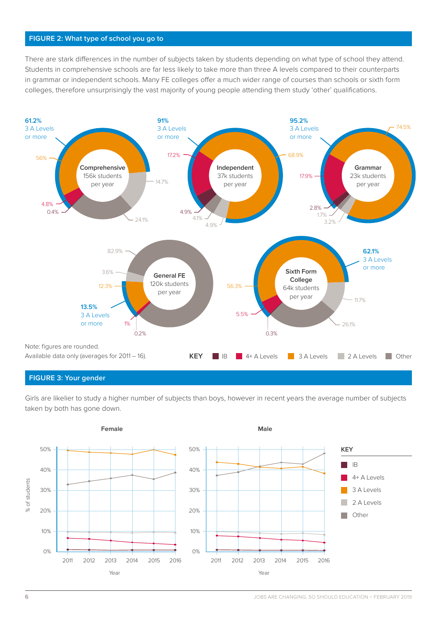#### **FIGURE 2: What type of school you go to**

There are stark differences in the number of subjects taken by students depending on what type of school they attend. Students in comprehensive schools are far less likely to take more than three A levels compared to their counterparts in grammar or independent schools. Many FE colleges offer a much wider range of courses than schools or sixth form colleges, therefore unsurprisingly the vast majority of young people attending them study 'other' qualifications.



#### **FIGURE 3: Your gender**

Girls are likelier to study a higher number of subjects than boys, however in recent years the average number of subjects taken by both has gone down.

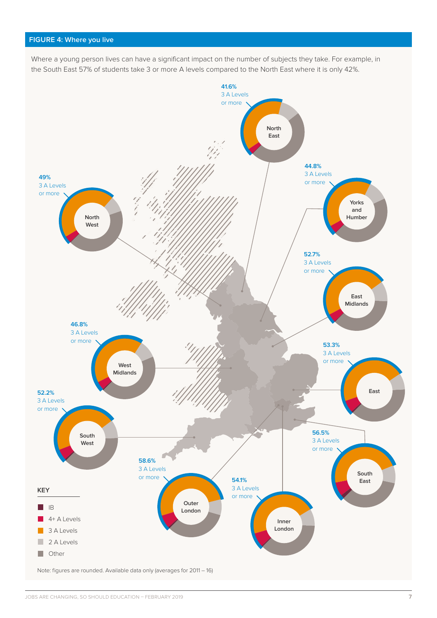#### **FIGURE 4: Where you live**

Where a young person lives can have a significant impact on the number of subjects they take. For example, in the South East 57% of students take 3 or more A levels compared to the North East where it is only 42%.



Note: figures are rounded. Available data only (averages for 2011 – 16)